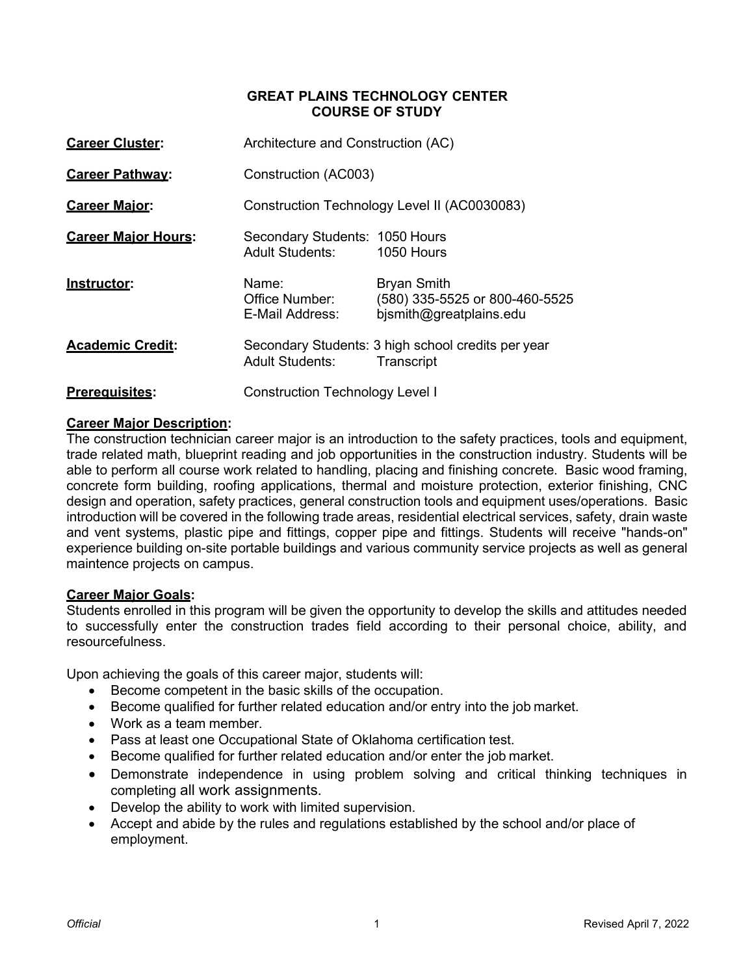### **GREAT PLAINS TECHNOLOGY CENTER COURSE OF STUDY**

| <b>Career Cluster:</b>     | Architecture and Construction (AC)                       |                                                                                 |
|----------------------------|----------------------------------------------------------|---------------------------------------------------------------------------------|
| <b>Career Pathway:</b>     | Construction (AC003)                                     |                                                                                 |
| <b>Career Major:</b>       |                                                          | Construction Technology Level II (AC0030083)                                    |
| <b>Career Maior Hours:</b> | Secondary Students: 1050 Hours<br><b>Adult Students:</b> | 1050 Hours                                                                      |
| Instructor:                | Name:<br>Office Number:<br>E-Mail Address:               | <b>Bryan Smith</b><br>(580) 335-5525 or 800-460-5525<br>bjsmith@greatplains.edu |
| <b>Academic Credit:</b>    | <b>Adult Students:</b>                                   | Secondary Students: 3 high school credits per year<br>Transcript                |
| <b>Prerequisites:</b>      | <b>Construction Technology Level I</b>                   |                                                                                 |

# **Career Major Description:**

The construction technician career major is an introduction to the safety practices, tools and equipment, trade related math, blueprint reading and job opportunities in the construction industry. Students will be able to perform all course work related to handling, placing and finishing concrete. Basic wood framing, concrete form building, roofing applications, thermal and moisture protection, exterior finishing, CNC design and operation, safety practices, general construction tools and equipment uses/operations. Basic introduction will be covered in the following trade areas, residential electrical services, safety, drain waste and vent systems, plastic pipe and fittings, copper pipe and fittings. Students will receive "hands-on" experience building on-site portable buildings and various community service projects as well as general maintence projects on campus.

## **Career Major Goals:**

Students enrolled in this program will be given the opportunity to develop the skills and attitudes needed to successfully enter the construction trades field according to their personal choice, ability, and resourcefulness.

Upon achieving the goals of this career major, students will:

- Become competent in the basic skills of the occupation.
- Become qualified for further related education and/or entry into the job market.
- Work as a team member.
- Pass at least one Occupational State of Oklahoma certification test.
- Become qualified for further related education and/or enter the job market.
- Demonstrate independence in using problem solving and critical thinking techniques in completing all work assignments.
- Develop the ability to work with limited supervision.
- Accept and abide by the rules and regulations established by the school and/or place of employment.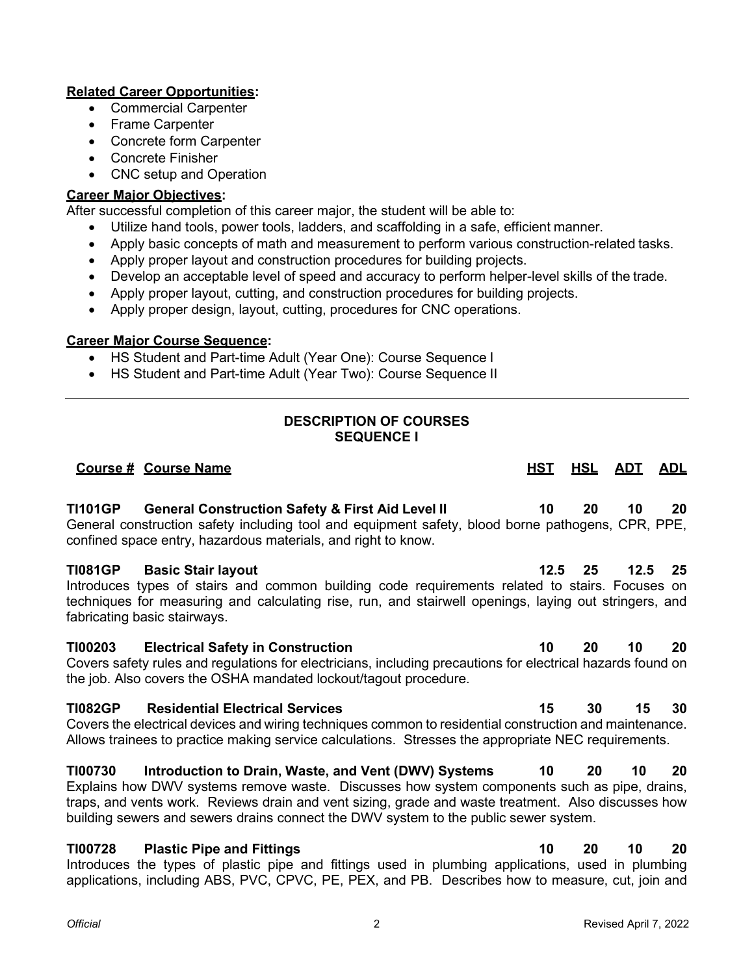# **Related Career Opportunities:**

- Commercial Carpenter
- Frame Carpenter
- Concrete form Carpenter
- Concrete Finisher
- CNC setup and Operation

## **Career Major Objectives:**

After successful completion of this career major, the student will be able to:

- Utilize hand tools, power tools, ladders, and scaffolding in a safe, efficient manner.
- Apply basic concepts of math and measurement to perform various construction-related tasks.
- Apply proper layout and construction procedures for building projects.
- Develop an acceptable level of speed and accuracy to perform helper-level skills of the trade.
- Apply proper layout, cutting, and construction procedures for building projects.
- Apply proper design, layout, cutting, procedures for CNC operations.

### **Career Major Course Sequence:**

- HS Student and Part-time Adult (Year One): Course Sequence I
- HS Student and Part-time Adult (Year Two): Course Sequence II

# **DESCRIPTION OF COURSES SEQUENCE I**

# **Course # Course Name HST HSL ADT ADL TI101GP General Construction Safety & First Aid Level II 10 20 10 20** General construction safety including tool and equipment safety, blood borne pathogens, CPR, PPE, confined space entry, hazardous materials, and right to know. **TI081GP Basic Stair layout 12.5 25 12.5 25** Introduces types of stairs and common building code requirements related to stairs. Focuses on techniques for measuring and calculating rise, run, and stairwell openings, laying out stringers, and fabricating basic stairways. **TI00203 Electrical Safety in Construction 10 20 10 20** Covers safety rules and regulations for electricians, including precautions for electrical hazards found on the job. Also covers the OSHA mandated lockout/tagout procedure. **TI082GP Residential Electrical Services 15 30 15 30** Covers the electrical devices and wiring techniques common to residential construction and maintenance. Allows trainees to practice making service calculations. Stresses the appropriate NEC requirements. **TI00730 Introduction to Drain, Waste, and Vent (DWV) Systems 10 20 10 20** Explains how DWV systems remove waste. Discusses how system components such as pipe, drains, traps, and vents work. Reviews drain and vent sizing, grade and waste treatment. Also discusses how building sewers and sewers drains connect the DWV system to the public sewer system. **TI00728 Plastic Pipe and Fittings 10 20 10 20**

Introduces the types of plastic pipe and fittings used in plumbing applications, used in plumbing applications, including ABS, PVC, CPVC, PE, PEX, and PB. Describes how to measure, cut, join and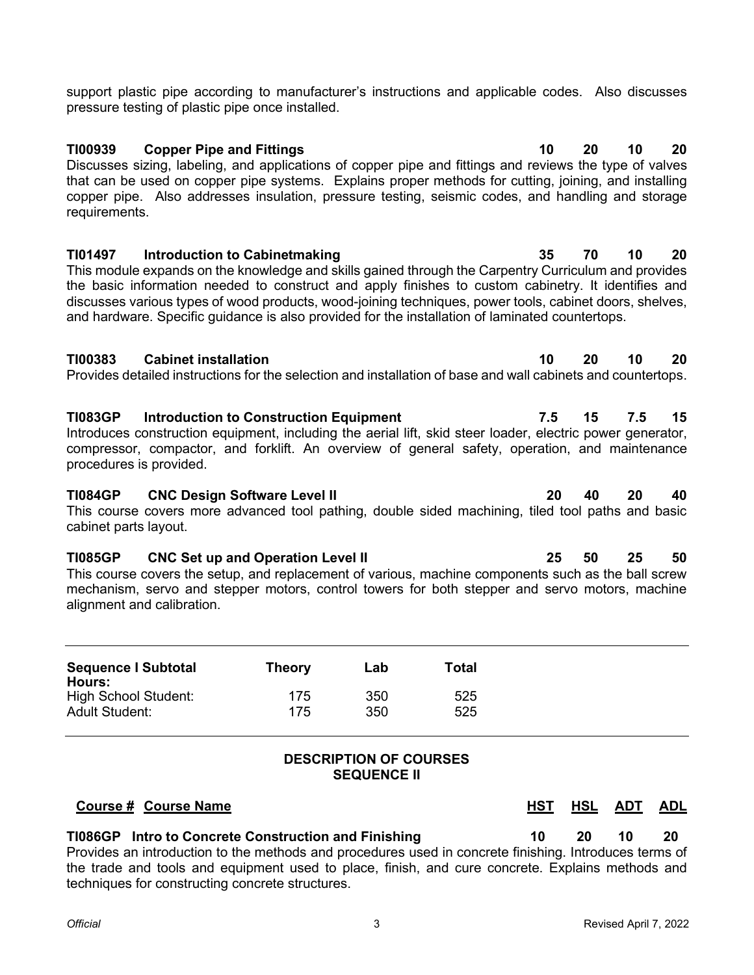support plastic pipe according to manufacturer's instructions and applicable codes. Also discusses pressure testing of plastic pipe once installed.

**TI00939 Copper Pipe and Fittings 10 20 10 20** Discusses sizing, labeling, and applications of copper pipe and fittings and reviews the type of valves that can be used on copper pipe systems. Explains proper methods for cutting, joining, and installing copper pipe. Also addresses insulation, pressure testing, seismic codes, and handling and storage requirements.

**TI01497 Introduction to Cabinetmaking 35 70 10 20** This module expands on the knowledge and skills gained through the Carpentry Curriculum and provides the basic information needed to construct and apply finishes to custom cabinetry. It identifies and discusses various types of wood products, wood-joining techniques, power tools, cabinet doors, shelves, and hardware. Specific guidance is also provided for the installation of laminated countertops.

### **TI00383 Cabinet installation 10 20 10 20**

Provides detailed instructions for the selection and installation of base and wall cabinets and countertops.

**TI083GP Introduction to Construction Equipment 7.5 15 7.5 15** Introduces construction equipment, including the aerial lift, skid steer loader, electric power generator, compressor, compactor, and forklift. An overview of general safety, operation, and maintenance procedures is provided.

### **TI084GP CNC Design Software Level II 20 40 20 40**

This course covers more advanced tool pathing, double sided machining, tiled tool paths and basic cabinet parts layout.

# **TI085GP CNC Set up and Operation Level II 25 50 25 50**

This course covers the setup, and replacement of various, machine components such as the ball screw mechanism, servo and stepper motors, control towers for both stepper and servo motors, machine alignment and calibration.

| <b>Sequence I Subtotal</b><br>Hours: | Theory | Lab | Total |
|--------------------------------------|--------|-----|-------|
| <b>High School Student:</b>          | 175    | 350 | 525   |
| <b>Adult Student:</b>                | 175    | 350 | 525   |

## **DESCRIPTION OF COURSES SEQUENCE II**

## **Course # Course Name HST HSL ADT ADL**

# **TI086GP Intro to Concrete Construction and Finishing 10 20 10 20**

Provides an introduction to the methods and procedures used in concrete finishing. Introduces terms of the trade and tools and equipment used to place, finish, and cure concrete. Explains methods and techniques for constructing concrete structures.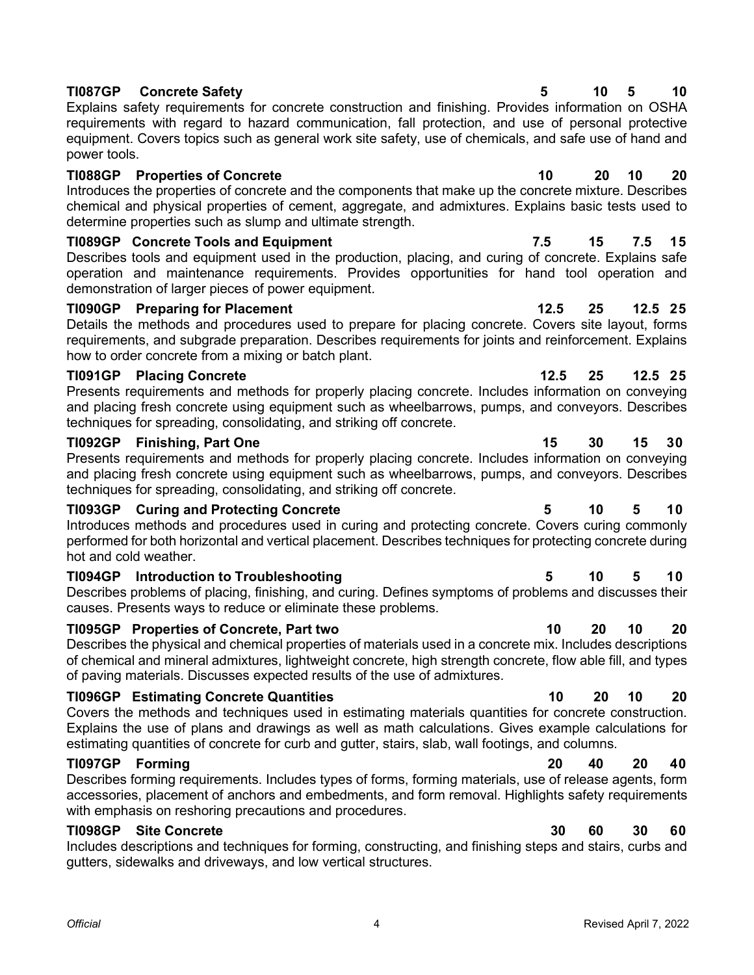## **TI087GP Concrete Safety 5 10 5 10**

Explains safety requirements for concrete construction and finishing. Provides information on OSHA requirements with regard to hazard communication, fall protection, and use of personal protective equipment. Covers topics such as general work site safety, use of chemicals, and safe use of hand and power tools.

### **TI088GP Properties of Concrete 10 20 10 20**

Introduces the properties of concrete and the components that make up the concrete mixture. Describes chemical and physical properties of cement, aggregate, and admixtures. Explains basic tests used to determine properties such as slump and ultimate strength.

## **TI089GP Concrete Tools and Equipment 7.5 15 7.5 15**

Describes tools and equipment used in the production, placing, and curing of concrete. Explains safe operation and maintenance requirements. Provides opportunities for hand tool operation and demonstration of larger pieces of power equipment.

### **TI090GP Preparing for Placement 12.5 25 12.5 25**

Details the methods and procedures used to prepare for placing concrete. Covers site layout, forms requirements, and subgrade preparation. Describes requirements for joints and reinforcement. Explains how to order concrete from a mixing or batch plant.

## **TI091GP Placing Concrete 12.5 25 12.5 25**

Presents requirements and methods for properly placing concrete. Includes information on conveying and placing fresh concrete using equipment such as wheelbarrows, pumps, and conveyors. Describes techniques for spreading, consolidating, and striking off concrete.

### **TI092GP Finishing, Part One 15 30 15 30**

Presents requirements and methods for properly placing concrete. Includes information on conveying and placing fresh concrete using equipment such as wheelbarrows, pumps, and conveyors. Describes techniques for spreading, consolidating, and striking off concrete.

### **TI093GP Curing and Protecting Concrete 5 10 5 10**

Introduces methods and procedures used in curing and protecting concrete. Covers curing commonly performed for both horizontal and vertical placement. Describes techniques for protecting concrete during hot and cold weather.

### **TI094GP Introduction to Troubleshooting 5 10 5 10**

Describes problems of placing, finishing, and curing. Defines symptoms of problems and discusses their causes. Presents ways to reduce or eliminate these problems.

## **TI095GP Properties of Concrete, Part two 10 20 10 20**

Describes the physical and chemical properties of materials used in a concrete mix. Includes descriptions of chemical and mineral admixtures, lightweight concrete, high strength concrete, flow able fill, and types of paving materials. Discusses expected results of the use of admixtures.

## **TI096GP Estimating Concrete Quantities 10 20 10 20**

Covers the methods and techniques used in estimating materials quantities for concrete construction. Explains the use of plans and drawings as well as math calculations. Gives example calculations for estimating quantities of concrete for curb and gutter, stairs, slab, wall footings, and columns.

Describes forming requirements. Includes types of forms, forming materials, use of release agents, form accessories, placement of anchors and embedments, and form removal. Highlights safety requirements with emphasis on reshoring precautions and procedures.

# **TI098GP Site Concrete 30 60 30 60**

Includes descriptions and techniques for forming, constructing, and finishing steps and stairs, curbs and gutters, sidewalks and driveways, and low vertical structures.

# **TI097GP Forming 20 40 20 40**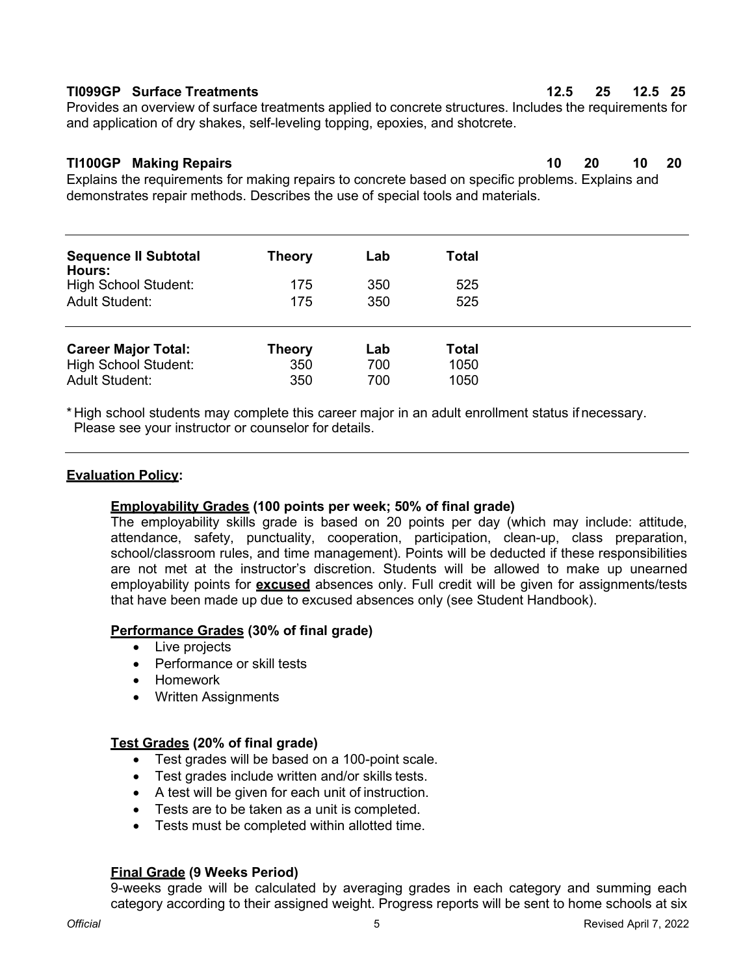# **TI099GP Surface Treatments 12.5 25 12.5 25**

Provides an overview of surface treatments applied to concrete structures. Includes the requirements for and application of dry shakes, self-leveling topping, epoxies, and shotcrete.

# **TI100GP Making Repairs 10 20 10 20**

Explains the requirements for making repairs to concrete based on specific problems. Explains and demonstrates repair methods. Describes the use of special tools and materials.

|                                                                                               | <b>Theory</b> | Lab | Total |
|-----------------------------------------------------------------------------------------------|---------------|-----|-------|
| <b>Sequence II Subtotal</b><br>Hours:<br><b>High School Student:</b><br><b>Adult Student:</b> |               |     |       |
|                                                                                               | 175           | 350 | 525   |
|                                                                                               | 175           | 350 | 525   |
| <b>Career Major Total:</b>                                                                    | <b>Theory</b> | Lab | Total |
| <b>High School Student:</b>                                                                   | 350           | 700 | 1050  |
| <b>Adult Student:</b>                                                                         | 350           | 700 | 1050  |

\* High school students may complete this career major in an adult enrollment status if necessary. Please see your instructor or counselor for details.

## **Evaluation Policy:**

## **Employability Grades (100 points per week; 50% of final grade)**

The employability skills grade is based on 20 points per day (which may include: attitude, attendance, safety, punctuality, cooperation, participation, clean-up, class preparation, school/classroom rules, and time management). Points will be deducted if these responsibilities are not met at the instructor's discretion. Students will be allowed to make up unearned employability points for **excused** absences only. Full credit will be given for assignments/tests that have been made up due to excused absences only (see Student Handbook).

## **Performance Grades (30% of final grade)**

- Live projects
- Performance or skill tests
- Homework
- Written Assignments

## **Test Grades (20% of final grade)**

- Test grades will be based on a 100-point scale.
- Test grades include written and/or skills tests.
- A test will be given for each unit of instruction.
- Tests are to be taken as a unit is completed.
- Tests must be completed within allotted time.

## **Final Grade (9 Weeks Period)**

9-weeks grade will be calculated by averaging grades in each category and summing each category according to their assigned weight. Progress reports will be sent to home schools at six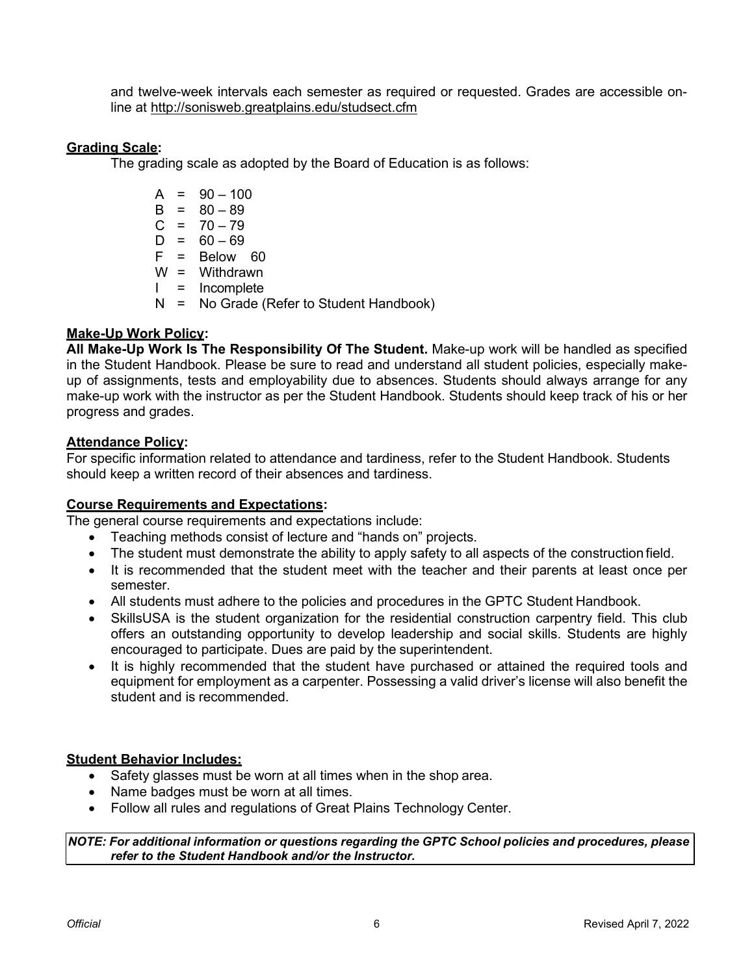and twelve-week intervals each semester as required or requested. Grades are accessible online at <http://sonisweb.greatplains.edu/studsect.cfm>

### **Grading Scale:**

The grading scale as adopted by the Board of Education is as follows:

 $A = 90 - 100$  $B = 80 - 89$  $C = 70 - 79$  $D = 60 - 69$  $F = Below 60$ W = Withdrawn I = Incomplete N = No Grade (Refer to Student Handbook)

### **Make-Up Work Policy:**

**All Make-Up Work Is The Responsibility Of The Student.** Make-up work will be handled as specified in the Student Handbook. Please be sure to read and understand all student policies, especially makeup of assignments, tests and employability due to absences. Students should always arrange for any make-up work with the instructor as per the Student Handbook. Students should keep track of his or her progress and grades.

### **Attendance Policy:**

For specific information related to attendance and tardiness, refer to the Student Handbook. Students should keep a written record of their absences and tardiness.

### **Course Requirements and Expectations:**

The general course requirements and expectations include:

- Teaching methods consist of lecture and "hands on" projects.
- The student must demonstrate the ability to apply safety to all aspects of the construction field.
- It is recommended that the student meet with the teacher and their parents at least once per semester.
- All students must adhere to the policies and procedures in the GPTC Student Handbook.
- SkillsUSA is the student organization for the residential construction carpentry field. This club offers an outstanding opportunity to develop leadership and social skills. Students are highly encouraged to participate. Dues are paid by the superintendent.
- It is highly recommended that the student have purchased or attained the required tools and equipment for employment as a carpenter. Possessing a valid driver's license will also benefit the student and is recommended.

## **Student Behavior Includes:**

- Safety glasses must be worn at all times when in the shop area.
- Name badges must be worn at all times.
- Follow all rules and regulations of Great Plains Technology Center.

*NOTE: For additional information or questions regarding the GPTC School policies and procedures, please refer to the Student Handbook and/or the Instructor.*